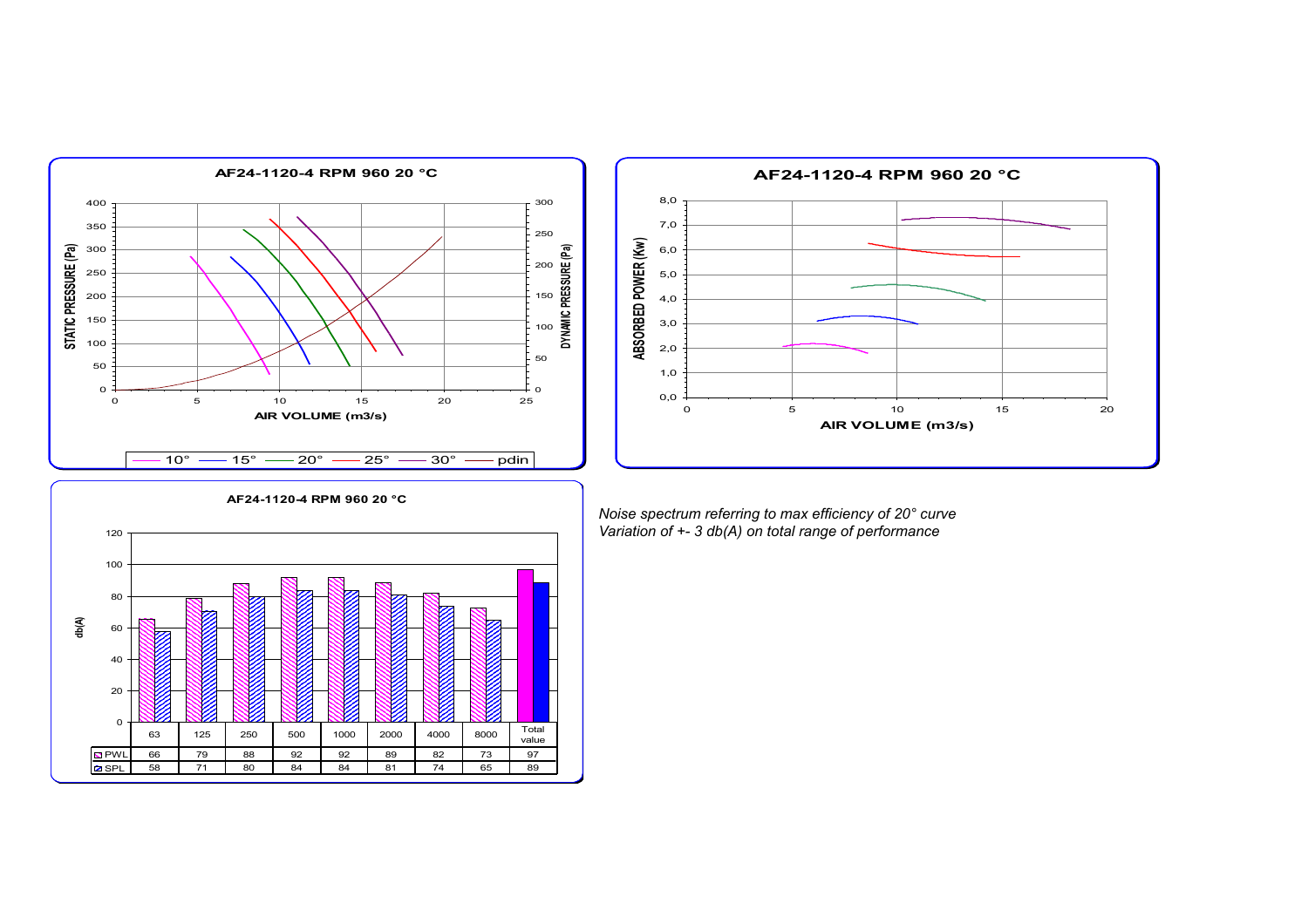



**AF24-1120-4 RPM 960 20 °C** 0 20 40 60 80 100 120 **db(A)** PWL 66 79 88 92 92 89 82 73 97 SPL 58 71 80 84 84 81 74 65 89 63 | 125 | 250 | 500 | 1000 | 2000 | 4000 | 8000 | Total value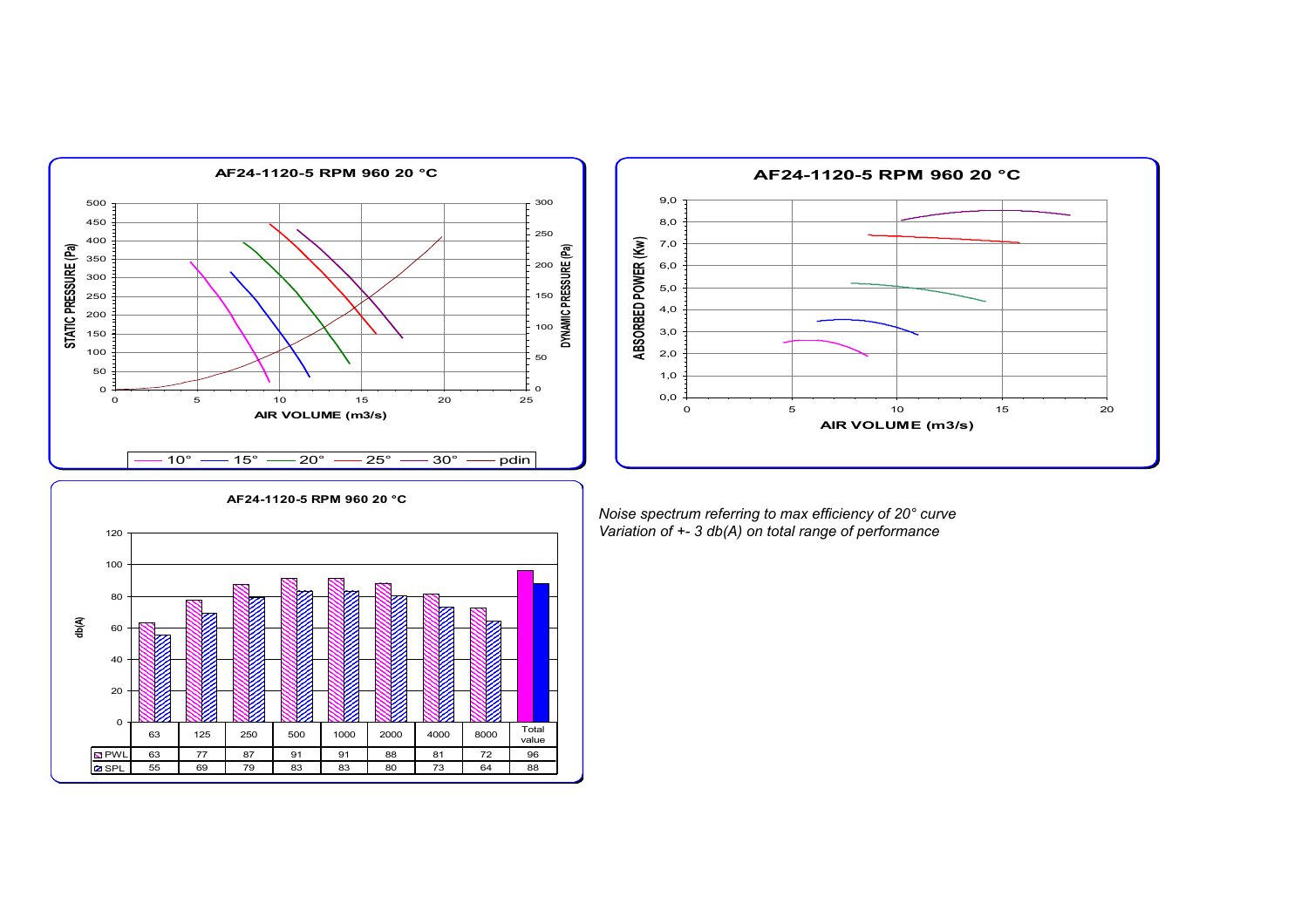



**AF24-1120-5 RPM 960 20 °C** 0 20 40 60 80 100 120 **db(A)** PWL 63 77 87 91 91 88 81 72 96 SPL 55 69 79 83 83 80 73 64 88 63 | 125 | 250 | 500 | 1000 | 2000 | 4000 | 8000 | Total value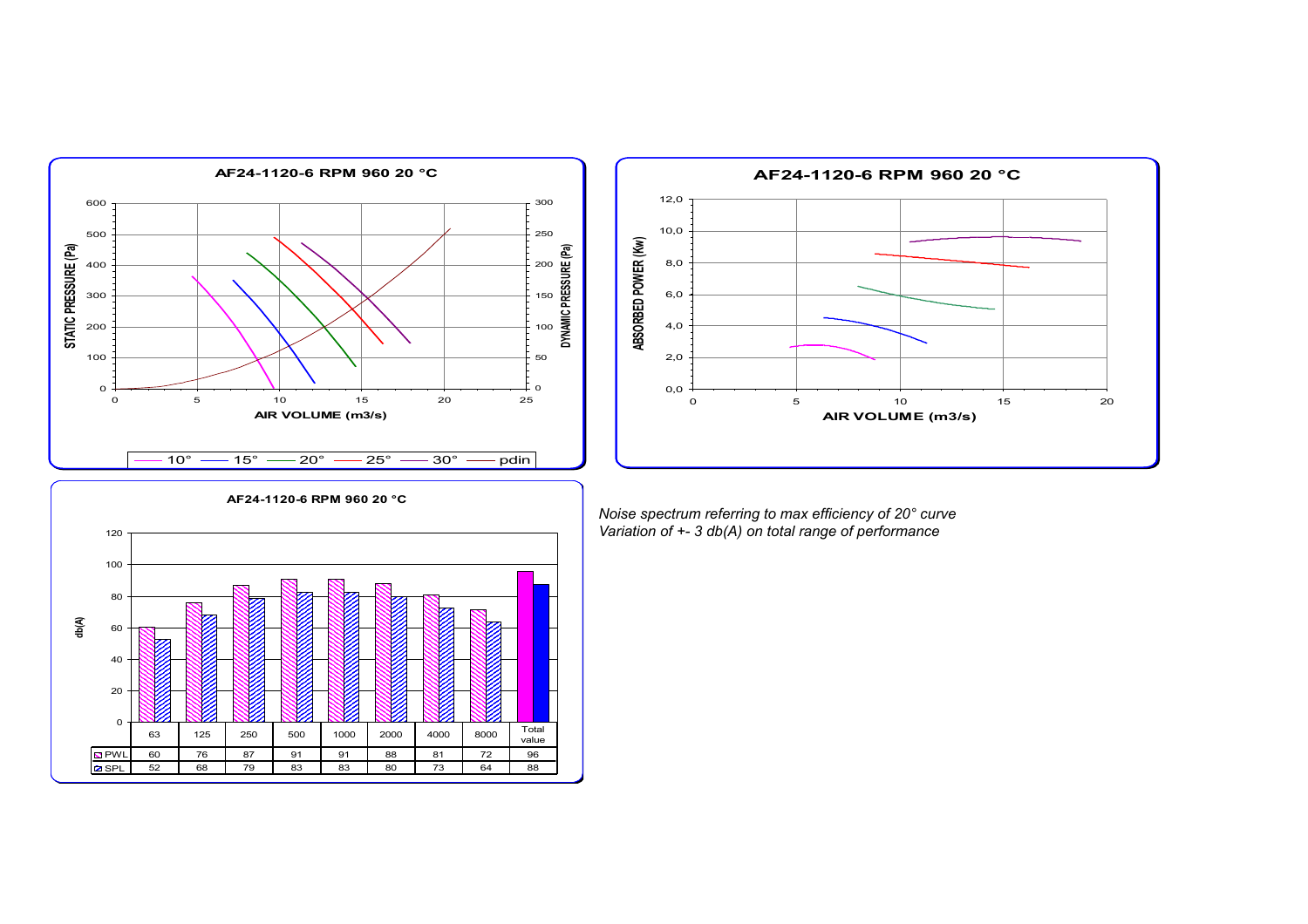



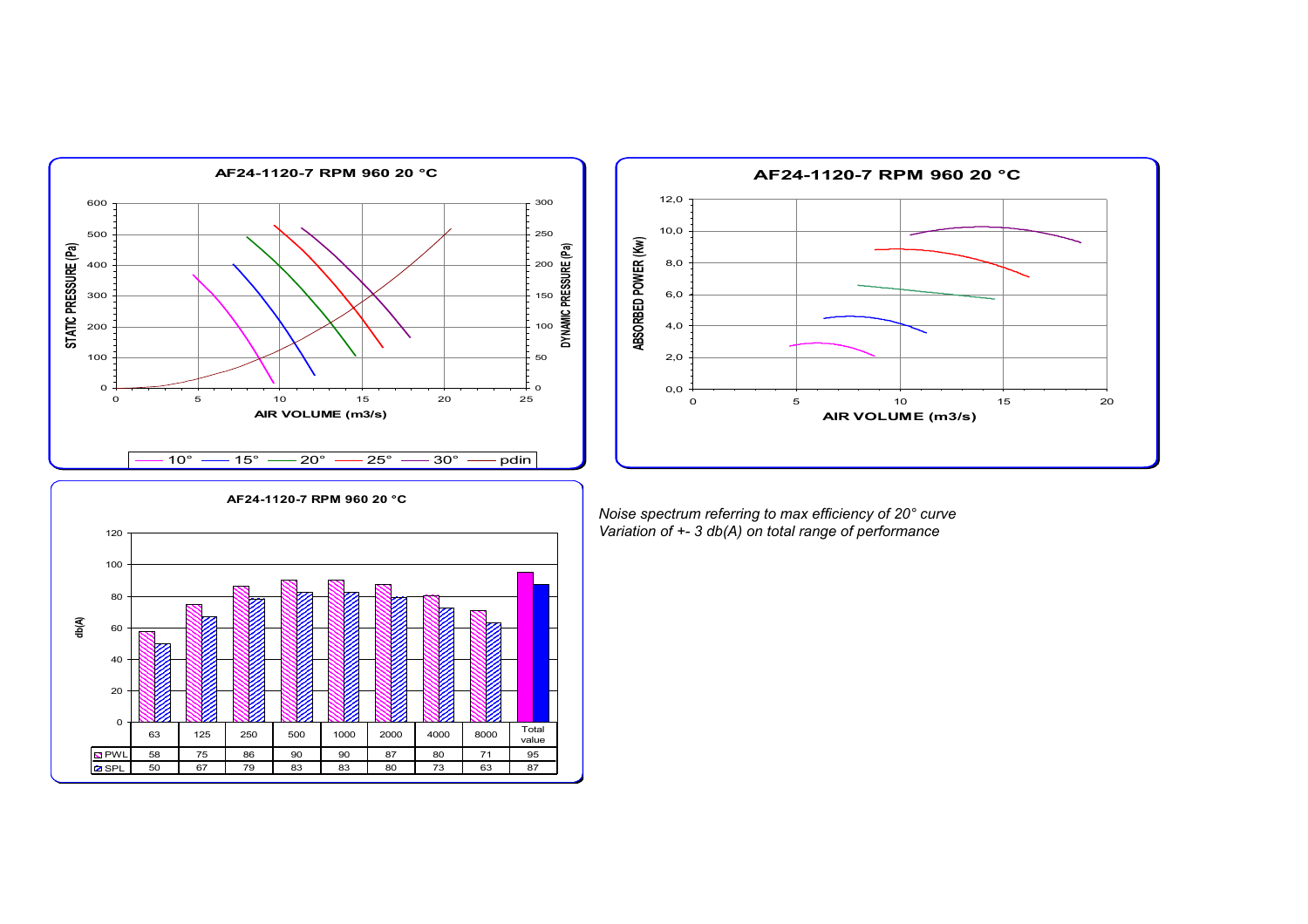